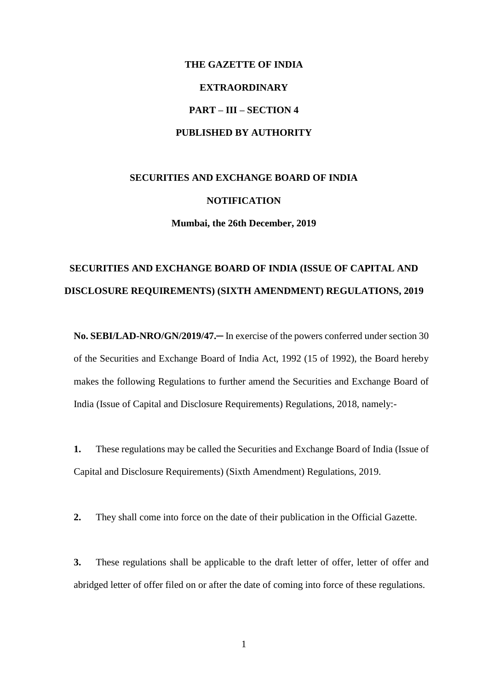# **THE GAZETTE OF INDIA EXTRAORDINARY PART – III – SECTION 4 PUBLISHED BY AUTHORITY**

## **SECURITIES AND EXCHANGE BOARD OF INDIA NOTIFICATION Mumbai, the 26th December, 2019**

## **SECURITIES AND EXCHANGE BOARD OF INDIA (ISSUE OF CAPITAL AND DISCLOSURE REQUIREMENTS) (SIXTH AMENDMENT) REGULATIONS, 2019**

**No. SEBI/LAD-NRO/GN/2019/47.─** In exercise of the powers conferred under section 30 of the Securities and Exchange Board of India Act, 1992 (15 of 1992), the Board hereby makes the following Regulations to further amend the Securities and Exchange Board of India (Issue of Capital and Disclosure Requirements) Regulations, 2018, namely:-

**1.** These regulations may be called the Securities and Exchange Board of India (Issue of Capital and Disclosure Requirements) (Sixth Amendment) Regulations, 2019.

**2.** They shall come into force on the date of their publication in the Official Gazette.

**3.** These regulations shall be applicable to the draft letter of offer, letter of offer and abridged letter of offer filed on or after the date of coming into force of these regulations.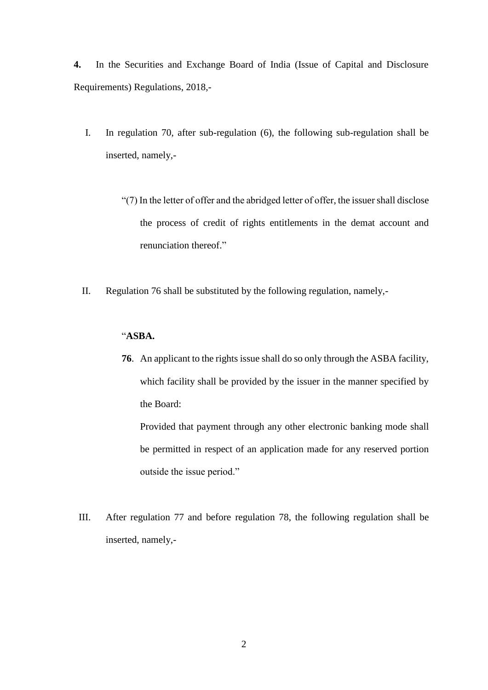**4.** In the Securities and Exchange Board of India (Issue of Capital and Disclosure Requirements) Regulations, 2018,-

- I. In regulation 70, after sub-regulation (6), the following sub-regulation shall be inserted, namely,-
	- "(7) In the letter of offer and the abridged letter of offer, the issuer shall disclose the process of credit of rights entitlements in the demat account and renunciation thereof."
- II. Regulation 76 shall be substituted by the following regulation, namely,-

#### "**ASBA.**

**76**. An applicant to the rights issue shall do so only through the ASBA facility, which facility shall be provided by the issuer in the manner specified by the Board:

Provided that payment through any other electronic banking mode shall be permitted in respect of an application made for any reserved portion outside the issue period."

III. After regulation 77 and before regulation 78, the following regulation shall be inserted, namely,-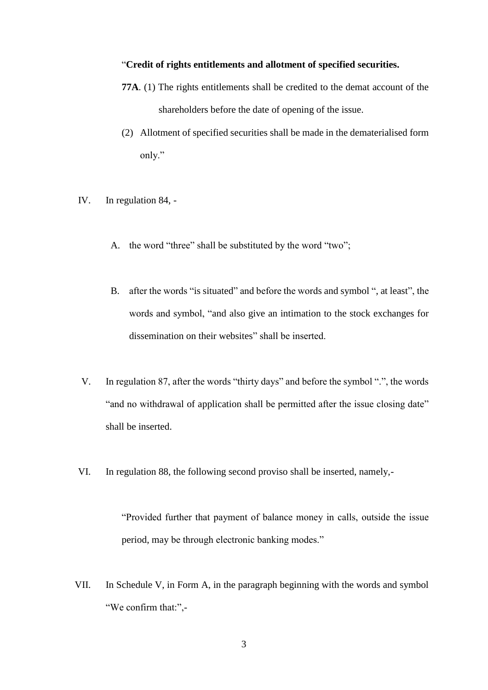#### "**Credit of rights entitlements and allotment of specified securities.**

- **77A**. (1) The rights entitlements shall be credited to the demat account of the shareholders before the date of opening of the issue.
- (2) Allotment of specified securities shall be made in the dematerialised form only."
- IV. In regulation 84,
	- A. the word "three" shall be substituted by the word "two";
	- B. after the words "is situated" and before the words and symbol ", at least", the words and symbol, "and also give an intimation to the stock exchanges for dissemination on their websites" shall be inserted.
- V. In regulation 87, after the words "thirty days" and before the symbol ".", the words "and no withdrawal of application shall be permitted after the issue closing date" shall be inserted.
- VI. In regulation 88, the following second proviso shall be inserted, namely,-

"Provided further that payment of balance money in calls, outside the issue period, may be through electronic banking modes."

VII. In Schedule V, in Form A, in the paragraph beginning with the words and symbol "We confirm that:",-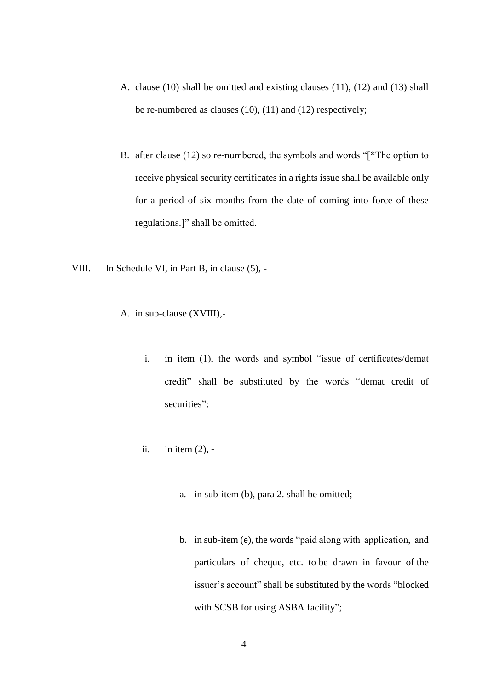- A. clause (10) shall be omitted and existing clauses (11), (12) and (13) shall be re-numbered as clauses (10), (11) and (12) respectively;
- B. after clause (12) so re-numbered, the symbols and words "[\*The option to receive physical security certificates in a rights issue shall be available only for a period of six months from the date of coming into force of these regulations.]" shall be omitted.
- VIII. In Schedule VI, in Part B, in clause (5),
	- A. in sub-clause (XVIII),
		- i. in item (1), the words and symbol "issue of certificates/demat credit" shall be substituted by the words "demat credit of securities";
		- ii. in item (2),
			- a. in sub-item (b), para 2. shall be omitted;
			- b. in sub-item (e), the words "paid along with application, and particulars of cheque, etc. to be drawn in favour of the issuer's account" shall be substituted by the words "blocked with SCSB for using ASBA facility";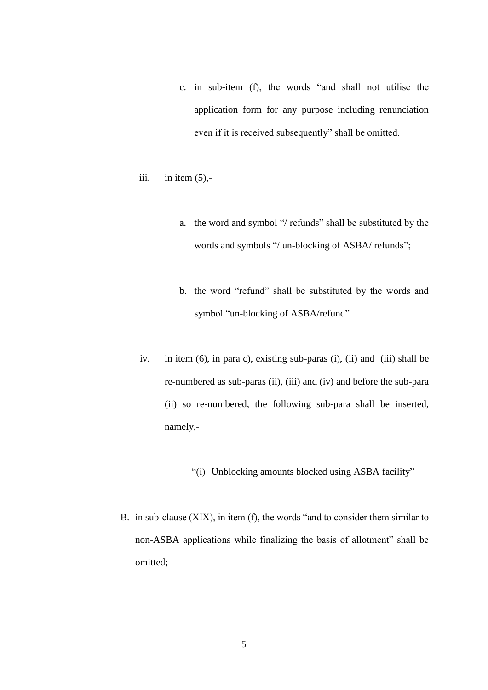- c. in sub-item (f), the words "and shall not utilise the application form for any purpose including renunciation even if it is received subsequently" shall be omitted.
- iii. in item  $(5)$ ,
	- a. the word and symbol "/ refunds" shall be substituted by the words and symbols "/ un-blocking of ASBA/ refunds";
	- b. the word "refund" shall be substituted by the words and symbol "un-blocking of ASBA/refund"
- iv. in item (6), in para c), existing sub-paras (i), (ii) and (iii) shall be re-numbered as sub-paras (ii), (iii) and (iv) and before the sub-para (ii) so re-numbered, the following sub-para shall be inserted, namely,-
	- "(i) Unblocking amounts blocked using ASBA facility"
- B. in sub-clause (XIX), in item (f), the words "and to consider them similar to non-ASBA applications while finalizing the basis of allotment" shall be omitted;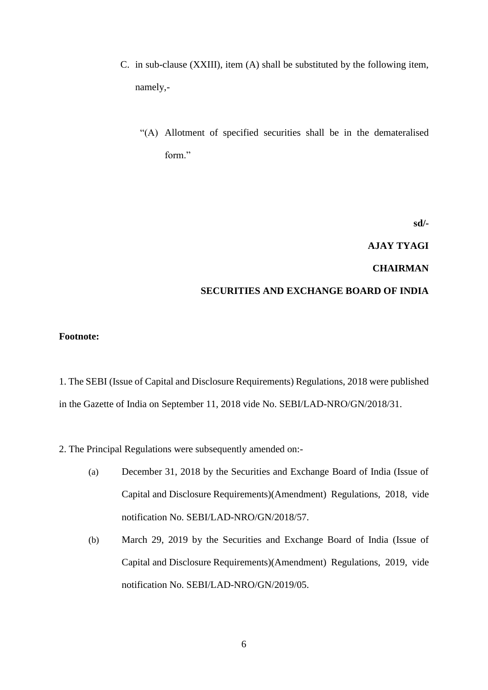- C. in sub-clause (XXIII), item (A) shall be substituted by the following item, namely,-
	- "(A) Allotment of specified securities shall be in the demateralised form."

**sd/-**

## **AJAY TYAGI**

## **CHAIRMAN**

### **SECURITIES AND EXCHANGE BOARD OF INDIA**

### **Footnote:**

1. The SEBI (Issue of Capital and Disclosure Requirements) Regulations, 2018 were published in the Gazette of India on September 11, 2018 vide No. SEBI/LAD-NRO/GN/2018/31.

2. The Principal Regulations were subsequently amended on:-

- (a) December 31, 2018 by the Securities and Exchange Board of India (Issue of Capital and Disclosure Requirements)(Amendment) Regulations, 2018, vide notification No. SEBI/LAD-NRO/GN/2018/57.
- (b) March 29, 2019 by the Securities and Exchange Board of India (Issue of Capital and Disclosure Requirements)(Amendment) Regulations, 2019, vide notification No. SEBI/LAD-NRO/GN/2019/05.